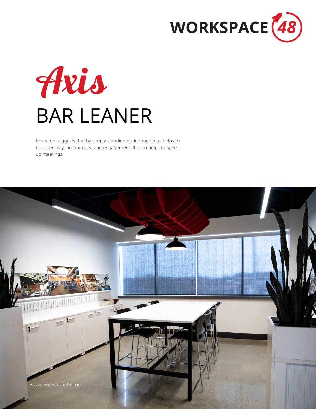



Research suggests that by simply standing during meetings helps to boost energy, productivity, and engagement. It even helps to speed up meetings.